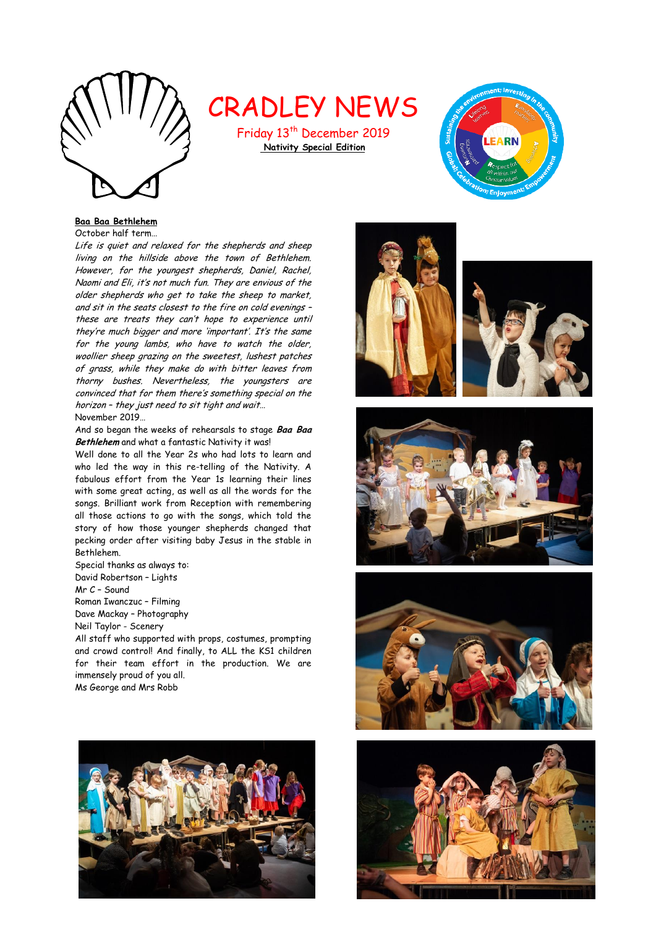

CRADLEY NEWS

Friday 13<sup>th</sup> December 2019 **Nativity Special Edition**



# **Baa Baa Bethlehem**

October half term…

Life is quiet and relaxed for the shepherds and sheep living on the hillside above the town of Bethlehem. However, for the youngest shepherds, Daniel, Rachel, Naomi and Eli, it's not much fun. They are envious of the older shepherds who get to take the sheep to market, and sit in the seats closest to the fire on cold evenings – these are treats they can't hope to experience until they're much bigger and more 'important'. It's the same for the young lambs, who have to watch the older, woollier sheep grazing on the sweetest, lushest patches of grass, while they make do with bitter leaves from thorny bushes. Nevertheless, the youngsters are convinced that for them there's something special on the horizon – they just need to sit tight and wait… November 2019…

And so began the weeks of rehearsals to stage **Baa Baa Bethlehem** and what a fantastic Nativity it was!

Well done to all the Year 2s who had lots to learn and who led the way in this re-telling of the Nativity. A fabulous effort from the Year 1s learning their lines with some great acting, as well as all the words for the songs. Brilliant work from Reception with remembering all those actions to go with the songs, which told the story of how those younger shepherds changed that pecking order after visiting baby Jesus in the stable in Bethlehem.

Special thanks as always to: David Robertson – Lights Mr C – Sound Roman Iwanczuc – Filming Dave Mackay – Photography Neil Taylor - Scenery

All staff who supported with props, costumes, prompting and crowd control! And finally, to ALL the KS1 children for their team effort in the production. We are immensely proud of you all. Ms George and Mrs Robb









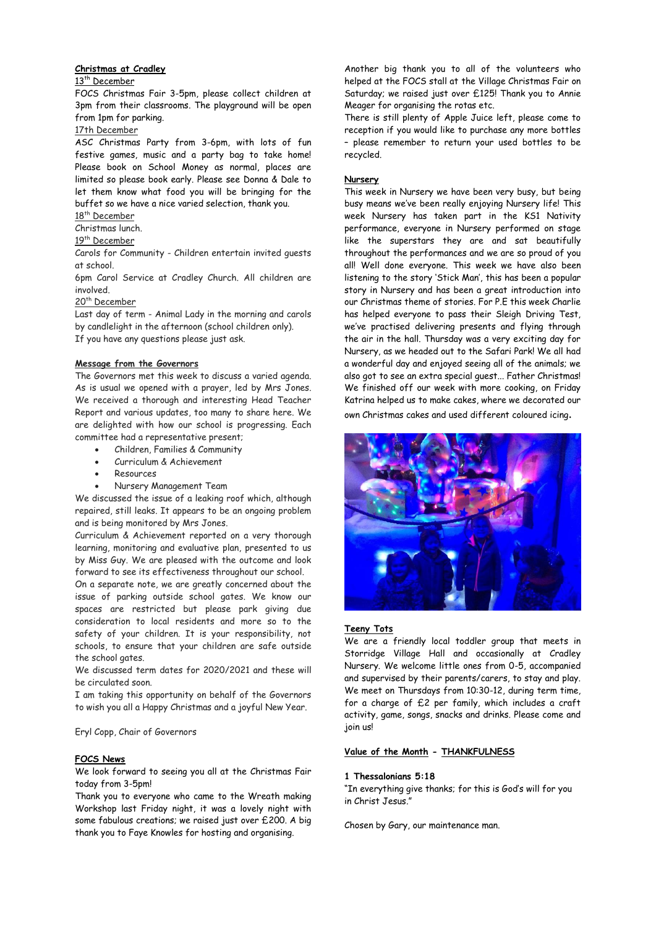#### **Christmas at Cradley**

#### 13<sup>th</sup> December

FOCS Christmas Fair 3-5pm, please collect children at 3pm from their classrooms. The playground will be open from 1pm for parking.

17th December

ASC Christmas Party from 3-6pm, with lots of fun festive games, music and a party bag to take home! Please book on School Money as normal, places are limited so please book early. Please see Donna & Dale to let them know what food you will be bringing for the buffet so we have a nice varied selection, thank you.

18<sup>th</sup> December

Christmas lunch.

# 19th December

Carols for Community - Children entertain invited guests at school.

6pm Carol Service at Cradley Church. All children are involved.

### 20<sup>th</sup> December

Last day of term - Animal Lady in the morning and carols by candlelight in the afternoon (school children only). If you have any questions please just ask.

#### **Message from the Governors**

The Governors met this week to discuss a varied agenda. As is usual we opened with a prayer, led by Mrs Jones. We received a thorough and interesting Head Teacher Report and various updates, too many to share here. We are delighted with how our school is progressing. Each committee had a representative present;

- Children, Families & Community
- Curriculum & Achievement
- Resources
- Nursery Management Team

We discussed the issue of a leaking roof which, although repaired, still leaks. It appears to be an ongoing problem and is being monitored by Mrs Jones.

Curriculum & Achievement reported on a very thorough learning, monitoring and evaluative plan, presented to us by Miss Guy. We are pleased with the outcome and look forward to see its effectiveness throughout our school.

On a separate note, we are greatly concerned about the issue of parking outside school gates. We know our spaces are restricted but please park giving due consideration to local residents and more so to the safety of your children. It is your responsibility, not schools, to ensure that your children are safe outside the school gates.

We discussed term dates for 2020/2021 and these will be circulated soon.

I am taking this opportunity on behalf of the Governors to wish you all a Happy Christmas and a joyful New Year.

Eryl Copp, Chair of Governors

#### **FOCS News**

We look forward to seeing you all at the Christmas Fair today from 3-5pm!

Thank you to everyone who came to the Wreath making Workshop last Friday night, it was a lovely night with some fabulous creations; we raised just over £200. A big thank you to Faye Knowles for hosting and organising.

Another big thank you to all of the volunteers who helped at the FOCS stall at the Village Christmas Fair on Saturday; we raised just over £125! Thank you to Annie Meager for organising the rotas etc.

There is still plenty of Apple Juice left, please come to reception if you would like to purchase any more bottles – please remember to return your used bottles to be recycled.

#### **Nursery**

This week in Nursery we have been very busy, but being busy means we've been really enjoying Nursery life! This week Nursery has taken part in the KS1 Nativity performance, everyone in Nursery performed on stage like the superstars they are and sat beautifully throughout the performances and we are so proud of you all! Well done everyone. This week we have also been listening to the story 'Stick Man', this has been a popular story in Nursery and has been a great introduction into our Christmas theme of stories. For P.E this week Charlie has helped everyone to pass their Sleigh Driving Test, we've practised delivering presents and flying through the air in the hall. Thursday was a very exciting day for Nursery, as we headed out to the Safari Park! We all had a wonderful day and enjoyed seeing all of the animals; we also got to see an extra special guest... Father Christmas! We finished off our week with more cooking, on Friday Katrina helped us to make cakes, where we decorated our own Christmas cakes and used different coloured icing.



#### **Teeny Tots**

We are a friendly local toddler group that meets in Storridge Village Hall and occasionally at Cradley Nursery. We welcome little ones from 0-5, accompanied and supervised by their parents/carers, to stay and play. We meet on Thursdays from 10:30-12, during term time, for a charge of £2 per family, which includes a craft activity, game, songs, snacks and drinks. Please come and join us!

#### **Value of the Month - THANKFULNESS**

#### **1 Thessalonians 5:18**

"In everything give thanks; for this is God's will for you in Christ Jesus."

Chosen by Gary, our maintenance man.